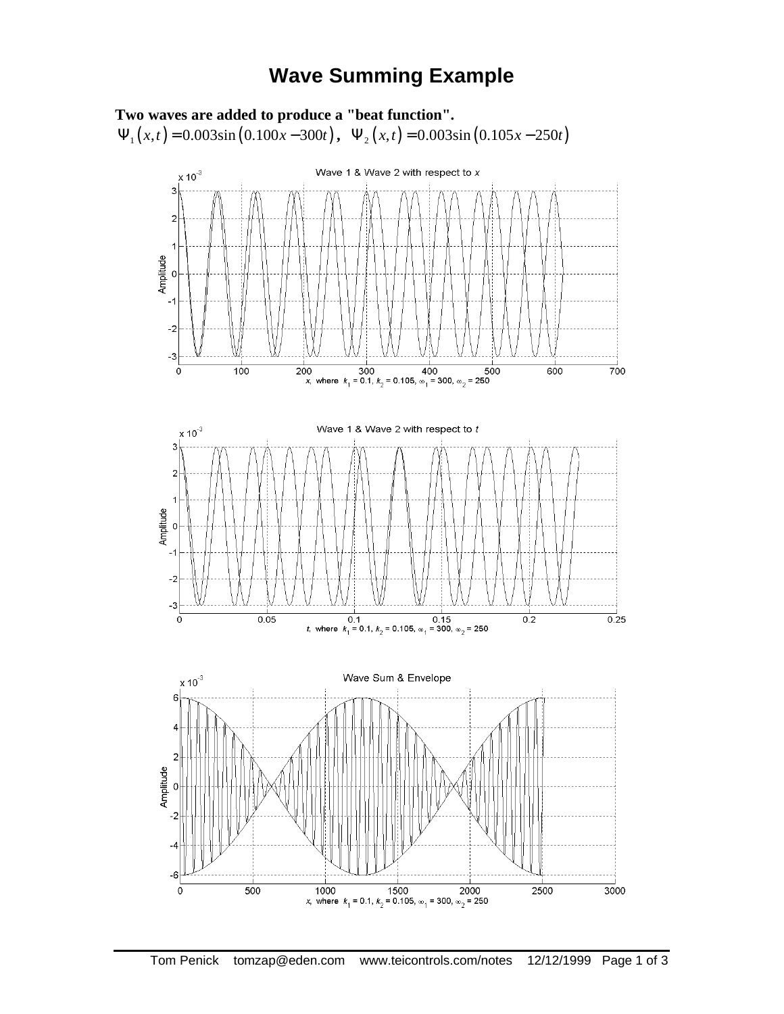## **Wave Summing Example**

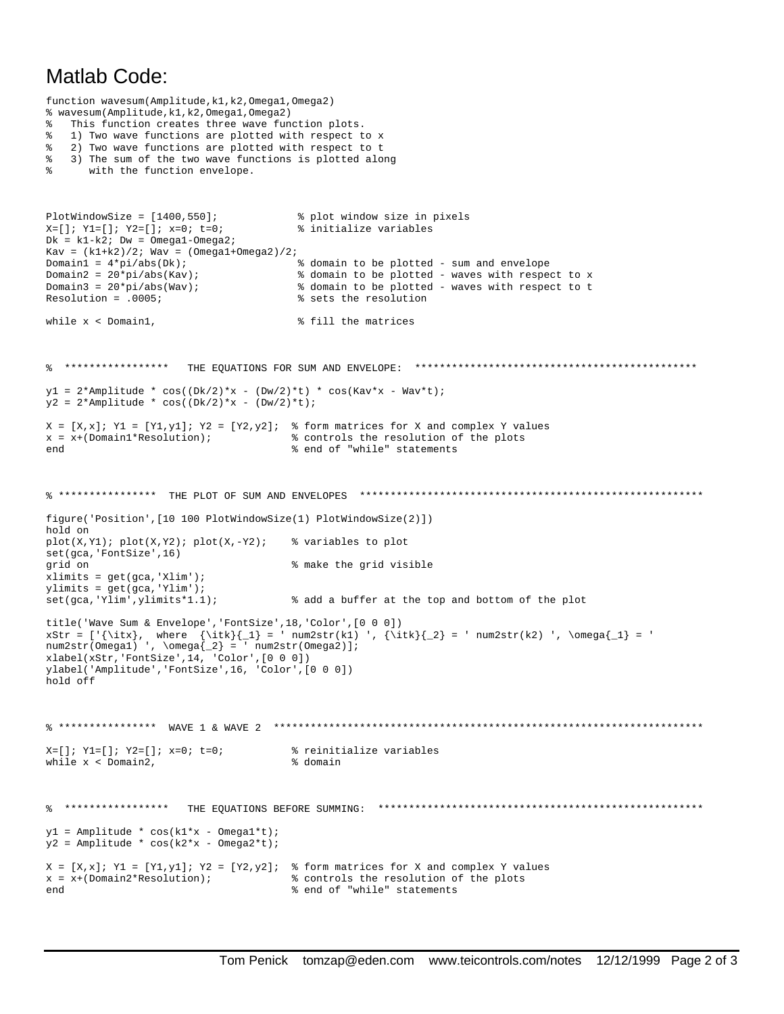## Matlab Code:

```
function wavesum(Amplitude,k1,k2,Omega1,Omega2)
% wavesum(Amplitude,k1,k2,Omega1,Omega2)
% This function creates three wave function plots.
% 1) Two wave functions are plotted with respect to x
% 2) Two wave functions are plotted with respect to t
% 3) The sum of the two wave functions is plotted along
% with the function envelope.
PlotWindowSize = [1400,550]; % plot window size in pixels
X=[ ]; Y1=[ ]; Y2=[ ]; X=0; t=0; * * initialize variables
Dk = k1-k2; Dw = Omega1-Omega2;
Kav = (k1+k2)/2; Wav = (Omega1+Omega2)/2;
Domain1 = 4*pi/abs(Dk); % domain to be plotted - sum and envelope
Domain2 = 20*pi/abs(Kav);<br>
8 domain to be plotted - waves with respect to x<br>
8 domain to be plotted - waves with respect to t
Domain3 = 20*pi/abs(Wav);<br>Resolution = .0005;<br>8 sets the resolution
                                                     % sets the resolution
while x < Domain1, \frac{1}{2} and \frac{1}{2} fill the matrices
% ***************** THE EQUATIONS FOR SUM AND ENVELOPE: **********************************************
y1 = 2*Amplitude * cos((Dk/2)*x - (Dw/2)*t) * cos(Kav*x - Wav*t);
y2 = 2*Amplitude * cos((Dk/2)*x - (Dw/2)*t);
X = [X,x]; Y1 = [Y1,y1]; Y2 = [Y2,y2]; % form matrices for X and complex Y values
x = x+(Domain1*Resolution); % controls the resolution of the plots
                                                    end % end of "while" statements
% **************** THE PLOT OF SUM AND ENVELOPES ********************************************************
figure('Position',[10 100 PlotWindowSize(1) PlotWindowSize(2)])
hold on
plot(X,Y1); plot(X,Y2); plot(X,-Y2); % variables to plot
set(gca,'FontSize',16)
grid on % make the grid visible
xlimits = get(gca,'Xlim');
\begin{split} & \texttt{plimits} = \texttt{get}(\texttt{gca}, \texttt{Ylim}^*) \, ; \\ & \texttt{set}(\texttt{gca}, \texttt{Ylim}^*, \texttt{plimits*1.1}) \, ; \end{split}% add a buffer at the top and bottom of the plot
title('Wave Sum & Envelope','FontSize',18,'Color',[0 0 0])
\texttt{xStr} = [\text{istr}, \text{ where } {\ite}_{1} = \texttt{Str}(k1) \text{ list}_{2} = \texttt{max}(\k2) \text{ } \omega_{1} = \texttt{Str}(k2) \text{ } \omega_{2} = \texttt{Str}(k2) \text{ if } \omega_{1} = \texttt{Str}(k3) \text{ if } \omega_{2} = \texttt{Str}(k4) \text{ if } \omega_{1} = \texttt{Str}(k5) \text{ if } \omega_{2} = \texttt{Str}(k6) \text{ if } \omega_{1} = \texttt{Str}(k7) \text{ if } \omega_{2} = \texttt{Str}(k8) \text{ if } \omega_{1}num2str(Omega) ', \omega_{2} = ' num2str(Omega) ];
xlabel(xStr,'FontSize',14, 'Color',[0 0 0])
ylabel('Amplitude','FontSize',16, 'Color',[0 0 0])
hold off
% **************** WAVE 1 & WAVE 2 **********************************************************************
X=[ ]; Y1=[ ]; Y2=[ ]; x=0; t=0; * * reinitialize variables
while x < Domain2, \frac{1}{2} and \frac{1}{2} and \frac{1}{2} and \frac{1}{2} and \frac{1}{2} and \frac{1}{2} and \frac{1}{2} and \frac{1}{2} and \frac{1}{2} and \frac{1}{2} and \frac{1}{2} and \frac{1}{2} and \frac{1}{2} and \frac{1}{2} and \frac{1}{2% ***************** THE EQUATIONS BEFORE SUMMING: *****************************************************
y1 = Amplitude * cos(k1*x - Omegal*t);
y2 = Amplitude * cos(k2*x - Omega2*t);
X = [X,x]; Y1 = [Y1,y1]; Y2 = [Y2,y2]; % form matrices for X and complex Y values x = x + (Domain2*Resolution); % controls the resolution of the plots
x = x + (Domain2*Resolution);<br>
x = x + (Domain2*Resolution);<br>
x = x + (Domain2*Resolution);<br>
x = x + (Domain2*Resolution);<br>
x = x + (Domain2*Resolution);
                                                    % end of "while" statements
```